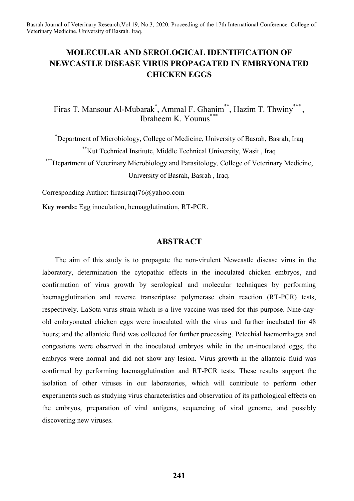# **MOLECULAR AND SEROLOGICAL IDENTIFICATION OF NEWCASTLE DISEASE VIRUS PROPAGATED IN EMBRYONATED CHICKEN EGGS**

Firas T. Mansour Al-Mubarak<sup>\*</sup>, Ammal F. Ghanim<sup>\*\*</sup>, Hazim T. Thwiny<sup>\*\*\*</sup>, Ibraheem K. Younus\*\*\*

\* Department of Microbiology, College of Medicine, University of Basrah, Basrah, Iraq \*\*Kut Technical Institute, Middle Technical University, Wasit , Iraq \*\*\*Department of Veterinary Microbiology and Parasitology, College of Veterinary Medicine, University of Basrah, Basrah , Iraq.

Corresponding Author: firasiraqi76@yahoo.com

**Key words:** Egg inoculation, hemagglutination, RT-PCR.

## **ABSTRACT**

The aim of this study is to propagate the non-virulent Newcastle disease virus in the laboratory, determination the cytopathic effects in the inoculated chicken embryos, and confirmation of virus growth by serological and molecular techniques by performing haemagglutination and reverse transcriptase polymerase chain reaction (RT-PCR) tests, respectively. LaSota virus strain which is a live vaccine was used for this purpose. Nine-dayold embryonated chicken eggs were inoculated with the virus and further incubated for 48 hours; and the allantoic fluid was collected for further processing. Petechial haemorrhages and congestions were observed in the inoculated embryos while in the un-inoculated eggs; the embryos were normal and did not show any lesion. Virus growth in the allantoic fluid was confirmed by performing haemagglutination and RT-PCR tests. These results support the isolation of other viruses in our laboratories, which will contribute to perform other experiments such as studying virus characteristics and observation of its pathological effects on the embryos, preparation of viral antigens, sequencing of viral genome, and possibly discovering new viruses.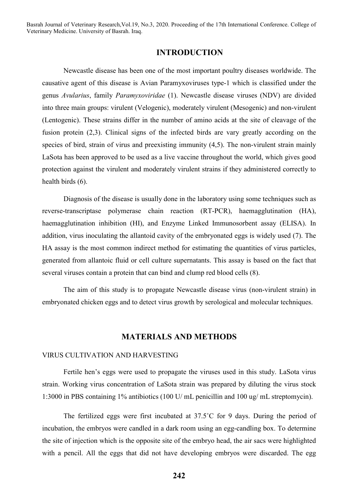## **INTRODUCTION**

Newcastle disease has been one of the most important poultry diseases worldwide. The causative agent of this disease is Avian Paramyxoviruses type-1 which is classified under the genus *Avularius*, family *Paramyxoviridae* (1). Newcastle disease viruses (NDV) are divided into three main groups: virulent (Velogenic), moderately virulent (Mesogenic) and non-virulent (Lentogenic). These strains differ in the number of amino acids at the site of cleavage of the fusion protein (2,3). Clinical signs of the infected birds are vary greatly according on the species of bird, strain of virus and preexisting immunity (4,5). The non-virulent strain mainly LaSota has been approved to be used as a live vaccine throughout the world, which gives good protection against the virulent and moderately virulent strains if they administered correctly to health birds (6).

Diagnosis of the disease is usually done in the laboratory using some techniques such as reverse-transcriptase polymerase chain reaction (RT-PCR), haemagglutination (HA), haemagglutination inhibition (HI), and Enzyme Linked Immunosorbent assay (ELISA). In addition, virus inoculating the allantoid cavity of the embryonated eggs is widely used (7). The HA assay is the most common indirect method for estimating the quantities of virus particles, generated from allantoic fluid or cell culture supernatants. This assay is based on the fact that several viruses contain a protein that can bind and clump red blood cells (8).

The aim of this study is to propagate Newcastle disease virus (non-virulent strain) in embryonated chicken eggs and to detect virus growth by serological and molecular techniques.

## **MATERIALS AND METHODS**

### VIRUS CULTIVATION AND HARVESTING

Fertile hen's eggs were used to propagate the viruses used in this study. LaSota virus strain. Working virus concentration of LaSota strain was prepared by diluting the virus stock 1:3000 in PBS containing 1% antibiotics (100 U/ mL penicillin and 100 ug/ mL streptomycin).

The fertilized eggs were first incubated at 37.5˚C for 9 days. During the period of incubation, the embryos were candled in a dark room using an egg-candling box. To determine the site of injection which is the opposite site of the embryo head, the air sacs were highlighted with a pencil. All the eggs that did not have developing embryos were discarded. The egg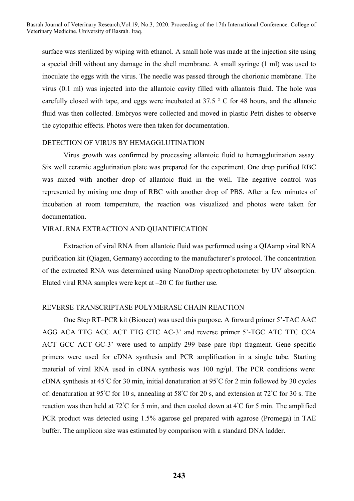surface was sterilized by wiping with ethanol. A small hole was made at the injection site using a special drill without any damage in the shell membrane. A small syringe (1 ml) was used to inoculate the eggs with the virus. The needle was passed through the chorionic membrane. The virus (0.1 ml) was injected into the allantoic cavity filled with allantois fluid. The hole was carefully closed with tape, and eggs were incubated at 37.5 ° C for 48 hours, and the allanoic fluid was then collected. Embryos were collected and moved in plastic Petri dishes to observe the cytopathic effects. Photos were then taken for documentation.

### DETECTION OF VIRUS BY HEMAGGLUTINATION

Virus growth was confirmed by processing allantoic fluid to hemagglutination assay. Six well ceramic agglutination plate was prepared for the experiment. One drop purified RBC was mixed with another drop of allantoic fluid in the well. The negative control was represented by mixing one drop of RBC with another drop of PBS. After a few minutes of incubation at room temperature, the reaction was visualized and photos were taken for documentation.

#### VIRAL RNA EXTRACTION AND QUANTIFICATION

Extraction of viral RNA from allantoic fluid was performed using a QIAamp viral RNA purification kit (Qiagen, Germany) according to the manufacturer's protocol. The concentration of the extracted RNA was determined using NanoDrop spectrophotometer by UV absorption. Eluted viral RNA samples were kept at  $-20^{\circ}$ C for further use.

#### REVERSE TRANSCRIPTASE POLYMERASE CHAIN REACTION

One Step RT–PCR kit (Bioneer) was used this purpose. A forward primer 5'-TAC AAC AGG ACA TTG ACC ACT TTG CTC AC-3' and reverse primer 5'-TGC ATC TTC CCA ACT GCC ACT GC-3' were used to amplify 299 base pare (bp) fragment. Gene specific primers were used for cDNA synthesis and PCR amplification in a single tube. Starting material of viral RNA used in cDNA synthesis was 100 ng/μl. The PCR conditions were: cDNA synthesis at 45◦ C for 30 min, initial denaturation at 95◦ C for 2 min followed by 30 cycles of: denaturation at 95℃ for 10 s, annealing at 58℃ for 20 s, and extension at 72℃ for 30 s. The reaction was then held at 72℃ for 5 min, and then cooled down at 4℃ for 5 min. The amplified PCR product was detected using 1.5% agarose gel prepared with agarose (Promega) in TAE buffer. The amplicon size was estimated by comparison with a standard DNA ladder.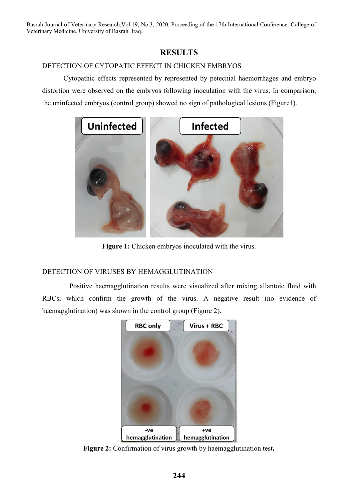# **RESULTS**

# DETECTION OF CYTOPATIC EFFECT IN CHICKEN EMBRYOS

Cytopathic effects represented by represented by petechial haemorrhages and embryo distortion were observed on the embryos following inoculation with the virus. In comparison, the uninfected embryos (control group) showed no sign of pathological lesions (Figure1).



**Figure 1:** Chicken embryos inoculated with the virus.

# DETECTION OF VIRUSES BY HEMAGGLUTINATION

Positive haemagglutination results were visualized after mixing allantoic fluid with RBCs, which confirm the growth of the virus. A negative result (no evidence of haemagglutination) was shown in the control group (Figure 2).



**Figure 2:** Confirmation of virus growth by haemagglutination test**.**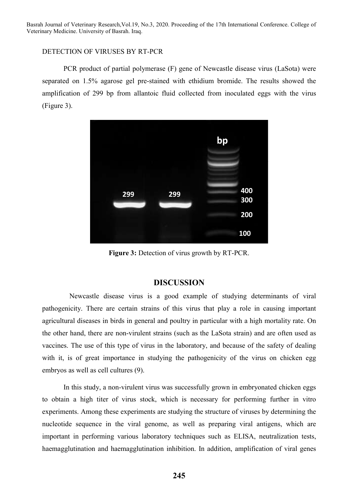### DETECTION OF VIRUSES BY RT-PCR

PCR product of partial polymerase (F) gene of Newcastle disease virus (LaSota) were separated on 1.5% agarose gel pre-stained with ethidium bromide. The results showed the amplification of 299 bp from allantoic fluid collected from inoculated eggs with the virus (Figure 3).



**Figure 3:** Detection of virus growth by RT-PCR.

### **DISCUSSION**

Newcastle disease virus is a good example of studying determinants of viral pathogenicity. There are certain strains of this virus that play a role in causing important agricultural diseases in birds in general and poultry in particular with a high mortality rate. On the other hand, there are non-virulent strains (such as the LaSota strain) and are often used as vaccines. The use of this type of virus in the laboratory, and because of the safety of dealing with it, is of great importance in studying the pathogenicity of the virus on chicken egg embryos as well as cell cultures (9).

In this study, a non-virulent virus was successfully grown in embryonated chicken eggs to obtain a high titer of virus stock, which is necessary for performing further in vitro experiments. Among these experiments are studying the structure of viruses by determining the nucleotide sequence in the viral genome, as well as preparing viral antigens, which are important in performing various laboratory techniques such as ELISA, neutralization tests, haemagglutination and haemagglutination inhibition. In addition, amplification of viral genes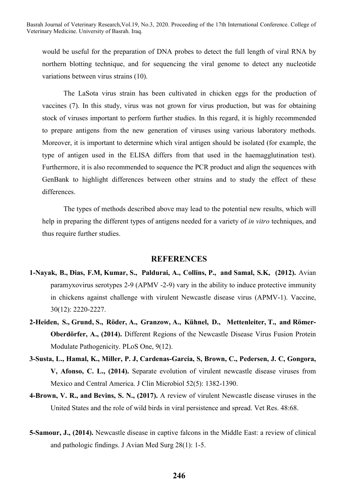would be useful for the preparation of DNA probes to detect the full length of viral RNA by northern blotting technique, and for sequencing the viral genome to detect any nucleotide variations between virus strains (10).

The LaSota virus strain has been cultivated in chicken eggs for the production of vaccines (7). In this study, virus was not grown for virus production, but was for obtaining stock of viruses important to perform further studies. In this regard, it is highly recommended to prepare antigens from the new generation of viruses using various laboratory methods. Moreover, it is important to determine which viral antigen should be isolated (for example, the type of antigen used in the ELISA differs from that used in the haemagglutination test). Furthermore, it is also recommended to sequence the PCR product and align the sequences with GenBank to highlight differences between other strains and to study the effect of these differences.

The types of methods described above may lead to the potential new results, which will help in preparing the different types of antigens needed for a variety of *in vitro* techniques, and thus require further studies.

#### **REFERENCES**

- **1-Nayak, B., Dias, F.M, Kumar, S., Paldurai, A., Collins, P., and Samal, S.K, (2012).** Avian paramyxovirus serotypes 2-9 (APMV -2-9) vary in the ability to induce protective immunity in chickens against challenge with virulent Newcastle disease virus (APMV-1). Vaccine, 30(12): 2220-2227.
- **2-Heiden, S., Grund, S., Röder, A., Granzow, A., Kühnel, D., Mettenleiter, T., and Römer-Oberdörfer, A., (2014).** Different Regions of the Newcastle Disease Virus Fusion Protein Modulate Pathogenicity. PLoS One, 9(12).
- **3-Susta, L., Hamal, K., Miller, P. J, Cardenas-Garcia, S, Brown, C., Pedersen, J. C, Gongora, V, Afonso, C. L., (2014).** Separate evolution of virulent newcastle disease viruses from Mexico and Central America. J Clin Microbiol 52(5): 1382-1390.
- **4-Brown, V. R., and Bevins, S. N., (2017).** A review of virulent Newcastle disease viruses in the United States and the role of wild birds in viral persistence and spread. Vet Res. 48:68.
- **5-Samour, J., (2014).** Newcastle disease in captive falcons in the Middle East: a review of clinical and pathologic findings. J Avian Med Surg 28(1): 1-5.